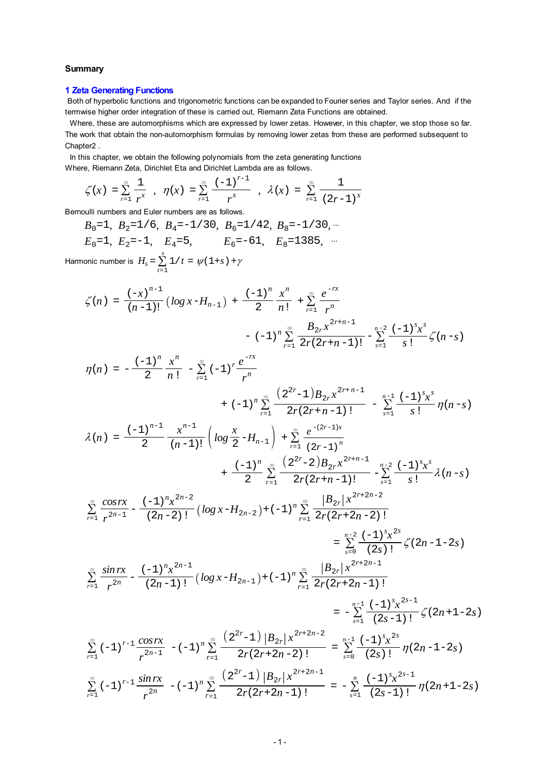#### **Summary**

### **1 Zeta Generating Functions**

 Both of hyperbolic functions and trigonometric functions can be expanded to Fourier series and Taylor series. And if the termwise higher order integration of these is carried out, Riemann Zeta Functions are obtained.

 Where, these are automorphisms which are expressed by lower zetas. However, in this chapter, we stop those so far. The work that obtain the non-automorphism formulas by removing lower zetas from these are performed subsequent to Chapter2 .

 In this chapter, we obtain the following polynomials from the zeta generating functions Where, Riemann Zeta, Dirichlet Eta and Dirichlet Lambda are as follows.

$$
\zeta(x) = \sum_{r=1}^{\infty} \frac{1}{r^x} , \eta(x) = \sum_{r=1}^{\infty} \frac{(-1)^{r-1}}{r^x} , \lambda(x) = \sum_{r=1}^{\infty} \frac{1}{(2r-1)^x}
$$

Bernoulli numbers and Euler numbers are as follows.

 $B_0=1$ ,  $B_2=1/6$ ,  $B_4=-1/30$ ,  $B_6=1/42$ ,  $B_8=-1/30$ ,  $\cdots$  $E_0$ =1,  $E_2$ =-1,  $E_4$ =5,  $E_6$ =-61,  $E_8$ =1385, <sup>...</sup> Harmonic number is  $H_s = \sum_{t=1}^{s} 1/t = \psi(1+s) + \gamma$ 

$$
\zeta(n) = \frac{(-x)^{n-1}}{(n-1)!} \left( \log x - H_{n-1} \right) + \frac{(-1)^n}{2} \frac{x^n}{n!} + \sum_{r=1}^{\infty} \frac{e^{-rx}}{r^n} - (-1)^n \sum_{r=1}^{\infty} \frac{B_{2r} x^{2r+n-1}}{2r(2r+n-1)!} - \sum_{s=1}^{n-2} \frac{(-1)^s x^s}{s!} \zeta(n-s)
$$

$$
\eta(n) = -\frac{(-1)^n}{2} \frac{x^n}{n!} - \sum_{r=1}^{\infty} (-1)^r \frac{e^{-rx}}{r^n}
$$
  
+  $(-1)^n \sum_{r=1}^{\infty} \frac{(2^{2r}-1)B_{2r}x^{2r+n-1}}{2r(2r+n-1)!} - \sum_{s=1}^{n-1} \frac{(-1)^s x^s}{s!} \eta(n-s)$   

$$
\lambda(n) = \frac{(-1)^{n-1}}{2} \frac{x^{n-1}}{(n-1)!} \left( \log \frac{x}{2} - H_{n-1} \right) + \sum_{r=1}^{\infty} \frac{e^{-(2r-1)x}}{(2r-1)^n} + \frac{(-1)^n}{2} \sum_{r=1}^{\infty} \frac{(2^{2r}-2)B_{2r}x^{2r+n-1}}{2r(2r+n-1)!} - \sum_{s=1}^{n-2} \frac{(-1)^s x^s}{s!} \lambda(n-s)
$$

$$
\sum_{r=1}^{\infty}\frac{cosrx}{r^{2n-1}}-\frac{(-1)^{n}x^{2n-2}}{(2n-2)!}\left(log\,x-H_{2n-2}\right)+(-1)^{n}\sum_{r=1}^{\infty}\frac{\left|B_{2r}\right|x^{2r+2n-2}}{2r(2r+2n-2)!}
$$

$$
= \sum_{s=0}^{n-2} \frac{(-1)^s x^{2s}}{(2s)!} \zeta(2n-1-2s)
$$
  

$$
\sum_{r=1}^{\infty} \frac{\sin rx}{r^{2n}} - \frac{(-1)^n x^{2n-1}}{(2n-1)!} \left( \log x - H_{2n-1} \right) + (-1)^n \sum_{r=1}^{\infty} \frac{|B_{2r}| x^{2r+2n-1}}{2r(2r+2n-1)!}
$$

$$
= -\sum_{s=1}^{n-1} \frac{(-1)^s x^{2s}}{(2s-1)!} \zeta(2n+1-2s)
$$
  

$$
\sum_{r=1}^{\infty} (-1)^{r-1} \frac{\cos rx}{r^{2n-1}} - (-1)^n \sum_{r=1}^{\infty} \frac{(2^{2r}-1) |B_{2r}| x^{2r+2n-2}}{2r(2r+2n-2)!} = \sum_{s=0}^{n-1} \frac{(-1)^s x^{2s}}{(2s)!} \eta(2n-1-2s)
$$
  

$$
\sum_{r=1}^{\infty} (-1)^{r-1} \frac{\sin rx}{r^{2n}} - (-1)^n \sum_{r=1}^{\infty} \frac{(2^{2r}-1) |B_{2r}| x^{2r+2n-1}}{2r(2r+2n-1)!} = -\sum_{s=1}^{n} \frac{(-1)^s x^{2s-1}}{(2s-1)!} \eta(2n+1-2s)
$$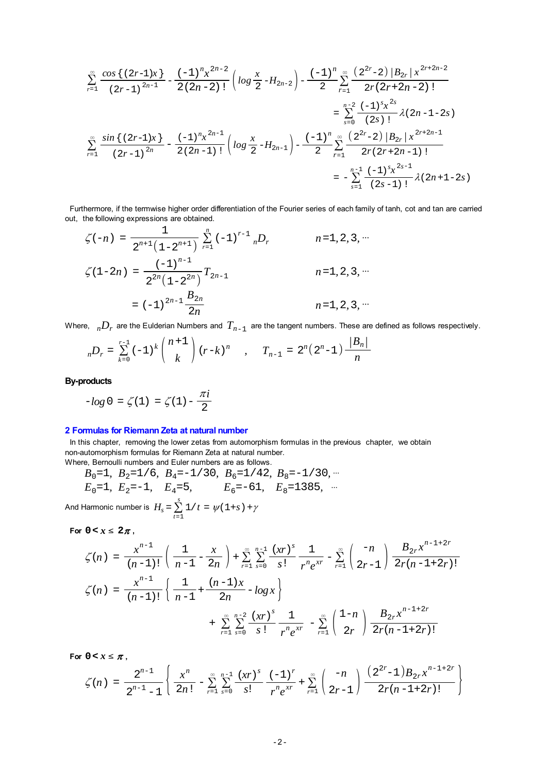$$
\sum_{r=1}^{\infty} \frac{\cos\left\{(2r-1)x\right\}}{(2r-1)^{2n-1}} - \frac{(-1)^n x^{2n-2}}{2(2n-2)!} \left( \log \frac{x}{2} - H_{2n-2} \right) - \frac{(-1)^n}{2} \sum_{r=1}^{\infty} \frac{(2^{2r}-2) |B_{2r}| x^{2r+2n-2}}{2r(2r+2n-2)!}
$$
\n
$$
= \sum_{s=0}^{n-2} \frac{(-1)^s x^{2s}}{(2s)!} \lambda(2n-1-2s)
$$
\n
$$
\sum_{r=1}^{\infty} \frac{\sin\left\{(2r-1)x\right\}}{(2r-1)^{2n}} - \frac{(-1)^n x^{2n-1}}{2(2n-1)!} \left( \log \frac{x}{2} - H_{2n-1} \right) - \frac{(-1)^n}{2} \sum_{r=1}^{\infty} \frac{(2^{2r}-2) |B_{2r}| x^{2r+2n-1}}{2r(2r+2n-1)!}
$$
\n
$$
= -\sum_{s=1}^{n-1} \frac{(-1)^s x^{2s-1}}{(2s-1)!} \lambda(2n+1-2s)
$$

 Furthermore, if the termwise higher order differentiation of the Fourier series of each family of tanh, cot and tan are carried out, the following expressions are obtained.

$$
\zeta(-n) = \frac{1}{2^{n+1} (1 - 2^{n+1})} \sum_{r=1}^{n} (-1)^{r-1} {}_{n}D_{r} \qquad n = 1, 2, 3, \cdots
$$

$$
\zeta(1 - 2n) = \frac{(-1)^{n-1}}{2^{2n} (1 - 2^{2n})} T_{2n-1} \qquad n = 1, 2, 3, \cdots
$$

$$
= (-1)^{2n-1} \frac{B_{2n}}{2n} \qquad n = 1, 2, 3, \cdots
$$

Where,  $nD_r$  are the Eulderian Numbers and  $T_{n-1}$  are the tangent numbers. These are defined as follows respectively.

$$
{}_{n}D_{r} = \sum_{k=0}^{r-1} (-1)^{k} {n+1 \choose k} (r-k)^{n}, \quad T_{n-1} = 2^{n} (2^{n}-1) \frac{|B_{n}|}{n}
$$

**By-products**

$$
-log\,0\,=\,\zeta(1)\,=\,\zeta(1)-\frac{\pi i}{2}
$$

#### **2 Formulas for Riemann Zeta at natural number**

In this chapter, removing the lower zetas from automorphism formulas in the previous chapter, we obtain non-automorphism formulas for Riemann Zeta at natural number. Where, Bernoulli numbers and Euler numbers are as follows.

$$
B_0=1
$$
,  $B_2=1/6$ ,  $B_4=-1/30$ ,  $B_6=1/42$ ,  $B_8=-1/30$ , ...  
\n $E_0=1$ ,  $E_2=-1$ ,  $E_4=5$ ,  $E_6=-61$ ,  $E_8=1385$ , ...

And Harmonic number is  $H_s = \sum_{t=1}^{s} 1/t = \psi(1+s) + \gamma$ 

For  $0 < x \leq 2\pi$ ,

$$
\zeta(n) = \frac{x^{n-1}}{(n-1)!} \left( \frac{1}{n-1} - \frac{x}{2n} \right) + \sum_{r=1}^{\infty} \sum_{s=0}^{n-1} \frac{(xr)^s}{s!} \frac{1}{r^n e^{xr}} - \sum_{r=1}^{\infty} \left( \frac{-n}{2r-1} \right) \frac{B_{2r} x^{n-1+2r}}{2r(n-1+2r)!}
$$

$$
\zeta(n) = \frac{x^{n-1}}{(n-1)!} \left\{ \frac{1}{n-1} + \frac{(n-1)x}{2n} - \log x \right\}
$$

$$
+ \sum_{r=1}^{\infty} \sum_{s=0}^{n-2} \frac{(xr)^s}{s!} \frac{1}{r^n e^{xr}} - \sum_{r=1}^{\infty} \left( \frac{1-n}{2r} \right) \frac{B_{2r} x^{n-1+2r}}{2r(n-1+2r)!}
$$

For  $0 < x \leq \pi$ ,

$$
\zeta(n) = \frac{2^{n-1}}{2^{n-1}-1} \left\{ \frac{x^n}{2n!} - \sum_{r=1}^{\infty} \sum_{s=0}^{n-1} \frac{(xr)^s}{s!} \frac{(-1)^r}{r^n e^{xr}} + \sum_{r=1}^{\infty} \left( \frac{-n}{2r-1} \right) \frac{(2^{2r}-1)B_{2r}x^{n-1+2r}}{2r(n-1+2r)!} \right\}
$$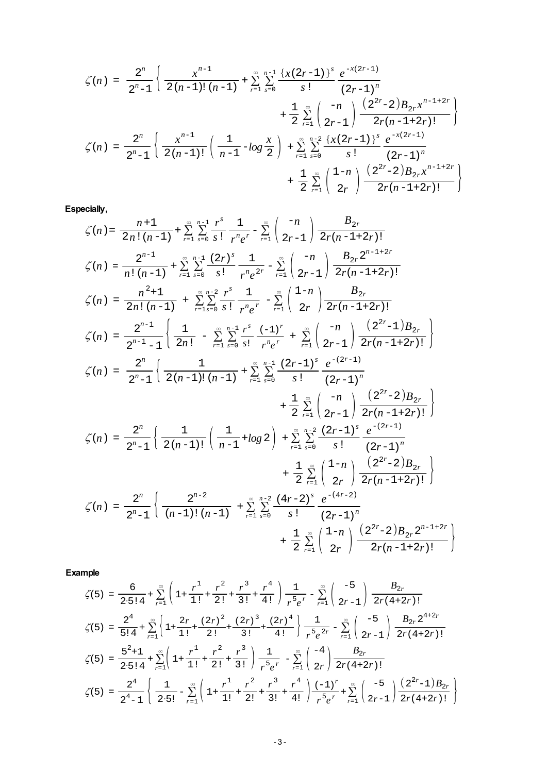$$
\zeta(n) = \frac{2^n}{2^n - 1} \left\{ \frac{x^{n-1}}{2(n-1)! (n-1)} + \sum_{r=1}^{\infty} \sum_{s=0}^{n-1} \frac{\{x(2r-1)\}^s}{s!} \frac{e^{-x(2r-1)}}{(2r-1)^n} + \frac{1}{2} \sum_{r=1}^{\infty} \binom{-n}{2r-1} \frac{\{2^{2r}-2\}B_{2r}x^{n-1+2r}}{2r(n-1+2r)!} \right\}
$$
  

$$
\zeta(n) = \frac{2^n}{2^n - 1} \left\{ \frac{x^{n-1}}{2(n-1)!} \left( \frac{1}{n-1} - \log \frac{x}{2} \right) + \sum_{r=1}^{\infty} \sum_{s=0}^{n-2} \frac{\{x(2r-1)\}^s}{s!} \frac{e^{-x(2r-1)}}{(2r-1)^n} + \frac{1}{2} \sum_{r=1}^{\infty} \left( \frac{1-n}{2r} \right) \frac{\{2^{2r}-2\}B_{2r}x^{n-1+2r}}{2r(n-1+2r)!} \right\}
$$

**Especially,**

$$
\zeta(n) = \frac{n+1}{2n!(n-1)} + \sum_{r=1}^{\infty} \sum_{s=0}^{n-1} \frac{r^s}{s!} \frac{1}{r^n e^r} - \sum_{r=1}^{\infty} \binom{-n}{2r-1} \frac{B_{2r}}{2r(n-1+2r)!}
$$
\n
$$
\zeta(n) = \frac{2^{n-1}}{n!(n-1)} + \sum_{r=1}^{\infty} \sum_{s=0}^{n-1} \frac{(2r)^s}{s!} \frac{1}{r^n e^{2r}} - \sum_{r=1}^{\infty} \binom{-n}{2r-1} \frac{B_{2r} 2^{n-1+2r}}{2r(n-1+2r)!}
$$
\n
$$
\zeta(n) = \frac{n^2+1}{2n!(n-1)} + \sum_{r=1}^{\infty} \sum_{s=0}^{n-2} \frac{r^s}{s!} \frac{1}{r^n e^r} - \sum_{r=1}^{\infty} \binom{1-n}{2r} \frac{B_{2r}}{2r(n-1+2r)!}
$$
\n
$$
\zeta(n) = \frac{2^{n-1}}{2^{n-1}-1} \left\{ \frac{1}{2n!} - \sum_{r=1}^{\infty} \sum_{s=0}^{n-1} \frac{r^s}{s!} \frac{(-1)^r}{r^n e^r} + \sum_{r=1}^{\infty} \binom{-n}{2r-1} \frac{(2^{2r}-1)B_{2r}}{2r(n-1+2r)!} \right\}
$$
\n
$$
\zeta(n) = \frac{2^n}{2^n-1} \left\{ \frac{1}{2(n-1)!(n-1)} + \sum_{r=1}^{\infty} \sum_{s=0}^{n-1} \frac{(2r-1)^s}{s!} \frac{e^{-(2r-1)}}{(2r-1)^n} + \frac{1}{2} \sum_{r=1}^{\infty} \binom{-n}{2r-1} \frac{(2^{2r}-2)B_{2r}}{2r(n-1+2r)!} \right\}
$$
\n
$$
\zeta(n) = \frac{2^n}{2^n-1} \left\{ \frac{1}{2(n-1)!} \left( \frac{1}{n-1} + \log 2 \right) + \sum_{r=1}^{\infty} \sum_{s=0}^{\infty} \frac{(2r-1)^s
$$

**Example**

$$
\zeta(5) = \frac{6}{2 \cdot 5! \, 4} + \sum_{r=1}^{\infty} \left( 1 + \frac{r^1}{1!} + \frac{r^2}{2!} + \frac{r^3}{3!} + \frac{r^4}{4!} \right) \frac{1}{r^5 e^r} - \sum_{r=1}^{\infty} \left( \frac{-5}{2r - 1} \right) \frac{B_{2r}}{2r(4 + 2r)!}
$$
\n
$$
\zeta(5) = \frac{2^4}{5! \, 4} + \sum_{r=1}^{\infty} \left\{ 1 + \frac{2r}{1!} + \frac{(2r)^2}{2!} + \frac{(2r)^3}{3!} + \frac{(2r)^4}{4!} \right\} \frac{1}{r^5 e^{2r}} - \sum_{r=1}^{\infty} \left( \frac{-5}{2r - 1} \right) \frac{B_{2r} 2^{4 + 2r}}{2r(4 + 2r)!}
$$
\n
$$
\zeta(5) = \frac{5^2 + 1}{2 \cdot 5! \, 4} + \sum_{r=1}^{\infty} \left( 1 + \frac{r^1}{1!} + \frac{r^2}{2!} + \frac{r^3}{3!} \right) \frac{1}{r^5 e^r} - \sum_{r=1}^{\infty} \left( \frac{-4}{2r} \right) \frac{B_{2r}}{2r(4 + 2r)!}
$$
\n
$$
\zeta(5) = \frac{2^4}{2^4 - 1} \left\{ \frac{1}{2 \cdot 5!} - \sum_{r=1}^{\infty} \left( 1 + \frac{r^1}{1!} + \frac{r^2}{2!} + \frac{r^3}{3!} + \frac{r^4}{4!} \right) \frac{(-1)^r}{r^5 e^r} + \sum_{r=1}^{\infty} \left( \frac{-5}{2r - 1} \right) \frac{(2^{2r} - 1)B_{2r}}{2r(4 + 2r)!} \right\}
$$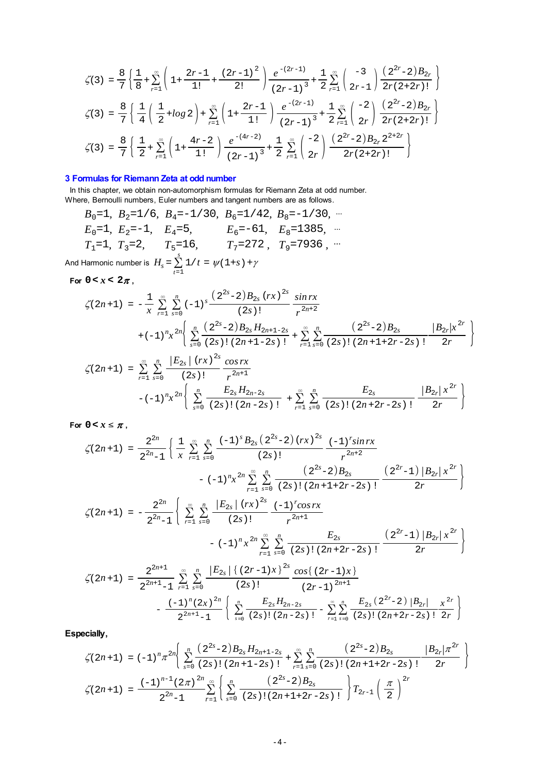$$
\zeta(3) = \frac{8}{7} \left\{ \frac{1}{8} + \sum_{r=1}^{\infty} \left( 1 + \frac{2r-1}{1!} + \frac{(2r-1)^2}{2!} \right) \frac{e^{-(2r-1)}}{(2r-1)^3} + \frac{1}{2} \sum_{r=1}^{\infty} \left( \frac{-3}{2r-1} \right) \frac{(2^{2r}-2)B_{2r}}{2r(2+2r)!} \right\}
$$
\n
$$
\zeta(3) = \frac{8}{7} \left\{ \frac{1}{4} \left( \frac{1}{2} + \log 2 \right) + \sum_{r=1}^{\infty} \left( 1 + \frac{2r-1}{1!} \right) \frac{e^{-(2r-1)}}{(2r-1)^3} + \frac{1}{2} \sum_{r=1}^{\infty} \left( \frac{-2}{2r} \right) \frac{(2^{2r}-2)B_{2r}}{2r(2+2r)!} \right\}
$$
\n
$$
\zeta(3) = \frac{8}{7} \left\{ \frac{1}{2} + \sum_{r=1}^{\infty} \left( 1 + \frac{4r-2}{1!} \right) \frac{e^{-(4r-2)}}{(2r-1)^3} + \frac{1}{2} \sum_{r=1}^{\infty} \left( \frac{-2}{2r} \right) \frac{(2^{2r}-2)B_{2r} 2^{2+2r}}{2r(2+2r)!} \right\}
$$

## **3 Formulas for Riemann Zeta at odd number**

In this chapter, we obtain non-automorphism formulas for Riemann Zeta at odd number.

Where, Bernoulli numbers, Euler numbers and tangent numbers are as follows.  $B_0=1$ ,  $B_2=1/6$ ,  $B_4=-1/30$ ,  $B_6=1/42$ ,  $B_8=-1/30$ ,  $\cdots$  $E_0$ =1,  $E_2$ =-1,  $E_4$ =5,  $E_6$ =-61,  $E_8$ =1385,  $\cdots$  $T_1$ =1*,*  $T_3$ =2*,*  $T_5$ =16*,*  $T_7$ =272*,*  $T_9$ =7936*,* ···

And Harmonic number is  $H_s = \sum_{t=1}^{s} 1/t = \psi(1+s) + \gamma$ 

For  $0 < x < 2\pi$ ,

$$
\zeta(2n+1) = -\frac{1}{x} \sum_{r=1}^{\infty} \sum_{s=0}^{n} (-1)^s \frac{\left(2^{2s} - 2\right)B_{2s} (rx)^{2s}}{(2s)!} \frac{\sin rx}{r^{2n+2}} + (-1)^n x^{2n} \left\{ \sum_{s=0}^{n} \frac{\left(2^{2s} - 2\right)B_{2s} H_{2n+1-2s}}{(2s)!(2n+1-2s)!} + \sum_{r=1}^{\infty} \sum_{s=0}^{n} \frac{\left(2^{2s} - 2\right)B_{2s}}{(2s)!(2n+1+2r-2s)!} \frac{|B_{2r}|x^{2r}}{2r} \right\}
$$

$$
\zeta(2n+1) = \sum_{r=1}^{\infty} \sum_{s=0}^{n} \frac{|E_{2s}| (rx)^{2s}}{(2s)!} \frac{\cos rx}{r^{2n+1}}
$$

$$
-(-1)^{n} x^{2n} \left\{ \sum_{s=0}^{n} \frac{E_{2s} H_{2n-2s}}{(2s)! (2n-2s)!} + \sum_{r=1}^{\infty} \sum_{s=0}^{n} \frac{E_{2s}}{(2s)! (2n+2r-2s)!} \frac{|B_{2r}| x^{2r}}{2r} \right\}
$$

For  $0 < x \leq \pi$ ,

$$
\zeta(2n+1) = \frac{2^{2n}}{2^{2n}-1} \left\{ \frac{1}{x} \sum_{r=1}^{\infty} \sum_{s=0}^{n} \frac{(-1)^s B_{2s} (2^{2s}-2) (rx)^{2s}}{(2s)!} \frac{(-1)^r \sin rx}{r^{2n+2}} - (-1)^n x^{2n} \sum_{r=1}^{\infty} \sum_{s=0}^{n} \frac{(2^{2s}-2) B_{2s}}{(2s)! (2n+1+2r-2s)!} \frac{(2^{2r}-1) |B_{2r}| x^{2r}}{2r} \right\}
$$
  

$$
\zeta(2n+1) = -\frac{2^{2n}}{2^{2n}-1} \left\{ \sum_{r=1}^{\infty} \sum_{s=0}^{n} \frac{|E_{2s}| (rx)^{2s}}{(2s)!} \frac{(-1)^r \cos rx}{r^{2n+1}} - (-1)^n x^{2n} \sum_{r=1}^{\infty} \sum_{s=0}^{n} \frac{E_{2s}}{(2s)! (2n+2r-2s)!} \frac{(2^{2r}-1) |B_{2r}| x^{2r}}{2r} \right\}
$$
  

$$
\zeta(2n+1) = \frac{2^{2n+1}}{2^{2n+1}-1} \sum_{r=1}^{\infty} \sum_{s=0}^{n} \frac{|E_{2s}| \{ (2r-1)x \}^{2s}}{(2s)!} \frac{\cos\{(2r-1)x\}}{(2r-1)^{2n+1}} - \frac{(-1)^n (2x)^{2n}}{2^{2n+1}-1} \left\{ \sum_{s=0}^n \frac{E_{2s} H_{2n-2s}}{(2s)! (2n-2s)!} - \sum_{r=1}^{\infty} \sum_{s=0}^n \frac{E_{2s} (2^{2r}-2) |B_{2r}|}{(2s)! (2n+2r-2s)!} \frac{x^{2r}}{2r} \right\}
$$

**Especially,**

$$
\zeta(2n+1) = (-1)^n \pi^{2n} \left\{ \sum_{s=0}^n \frac{(2^{2s}-2)B_{2s}H_{2n+1-2s}}{(2s)!(2n+1-2s)!} + \sum_{r=1}^\infty \sum_{s=0}^n \frac{(2^{2s}-2)B_{2s}}{(2s)!(2n+1+2r-2s)!} \frac{|B_{2r}|\pi^{2r}}{2r} \right\}
$$
  

$$
\zeta(2n+1) = \frac{(-1)^{n-1}(2\pi)^{2n}}{2^{2n}-1} \sum_{r=1}^\infty \left\{ \sum_{s=0}^n \frac{(2^{2s}-2)B_{2s}}{(2s)!(2n+1+2r-2s)!} \right\} T_{2r-1} \left(\frac{\pi}{2}\right)^{2r}
$$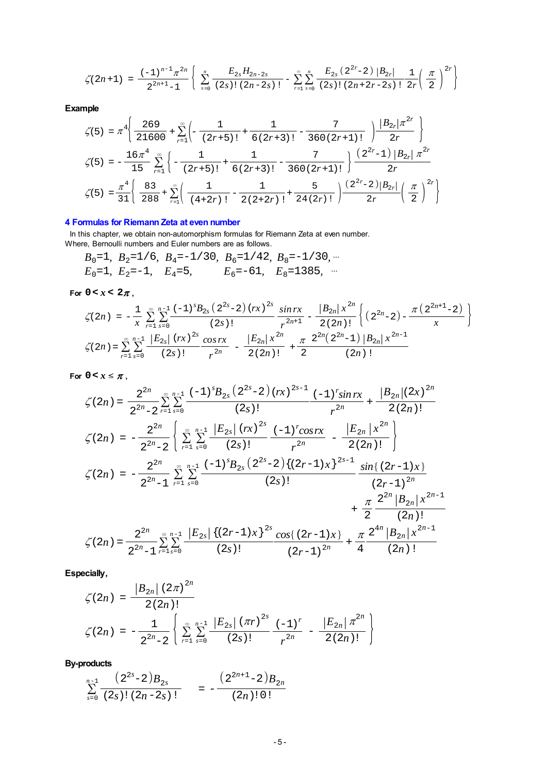$$
\zeta(2n+1) = \frac{(-1)^{n-1} \pi^{2n}}{2^{2n+1} - 1} \left\{ \sum_{s=0}^{n} \frac{E_{2s} H_{2n-2s}}{(2s) \, ! \, (2n-2s) \, !} - \sum_{r=1}^{\infty} \sum_{s=0}^{n} \frac{E_{2s} (2^{2r} - 2) \, |B_{2r}|}{(2s) \, ! \, (2n+2r-2s) \, !} \frac{1}{2r} \left( \frac{\pi}{2} \right)^{2r} \right\}
$$

**Example**

$$
\zeta(5) = \pi^4 \left\{ \frac{269}{21600} + \sum_{r=1}^{\infty} \left( -\frac{1}{(2r+5)!} + \frac{1}{6(2r+3)!} - \frac{7}{360(2r+1)!} \right) \frac{|B_{2r}|\pi^{2r}}{2r} \right\}
$$
  

$$
\zeta(5) = -\frac{16\pi^4}{15} \sum_{r=1}^{\infty} \left\{ -\frac{1}{(2r+5)!} + \frac{1}{6(2r+3)!} - \frac{7}{360(2r+1)!} \right\} \frac{(2^{2r}-1) |B_{2r}| \pi^{2r}}{2r}
$$
  

$$
\zeta(5) = \frac{\pi^4}{31} \left\{ \frac{83}{288} + \sum_{r=1}^{\infty} \left( \frac{1}{(4+2r)!} - \frac{1}{2(2+2r)!} + \frac{5}{24(2r)!} \right) \frac{(2^{2r}-2)|B_{2r}|}{2r} \left( \frac{\pi}{2} \right)^{2r} \right\}
$$

# **4 Formulas for Riemann Zeta at even number**

 In this chapter, we obtain non-automorphism formulas for Riemann Zeta at even number. Where, Bernoulli numbers and Euler numbers are as follows.

$$
B_0=1
$$
,  $B_2=1/6$ ,  $B_4=-1/30$ ,  $B_6=1/42$ ,  $B_8=-1/30$ , ...  
\n $E_0=1$ ,  $E_2=-1$ ,  $E_4=5$ ,  $E_6=-61$ ,  $E_8=1385$ , ...

For  $0 < x < 2\pi$ ,

$$
\zeta(2n) = -\frac{1}{x} \sum_{r=1}^{\infty} \sum_{s=0}^{n-1} \frac{(-1)^s B_{2s} (2^{2s}-2) (rx)^{2s}}{(2s)!} \frac{\sin rx}{r^{2n+1}} - \frac{|B_{2n}| x^{2n}}{2(2n)!} \left\{ (2^{2n}-2) - \frac{\pi (2^{2n+1}-2)}{x} \right\}
$$

$$
\zeta(2n) = \sum_{r=1}^{\infty} \sum_{s=0}^{n-1} \frac{|E_{2s}| (rx)^{2s}}{(2s)!} \frac{\cos rx}{r^{2n}} - \frac{|E_{2n}| x^{2n}}{2(2n)!} + \frac{\pi}{2} \frac{2^{2n} (2^{2n}-1) |B_{2n}| x^{2n-1}}{(2n)!}
$$

For  $0 < x \leq \pi$ ,

$$
\zeta(2n) = \frac{2^{2n}}{2^{2n}-2} \sum_{r=1}^{\infty} \sum_{s=0}^{n-1} \frac{(-1)^s B_{2s} (2^{2s}-2) (rx)^{2s-1}}{(2s)!} \frac{(-1)^r \sin rx}{r^{2n}} + \frac{|B_{2n}| (2x)^{2n}}{2(2n)!}
$$
  

$$
\zeta(2n) = -\frac{2^{2n}}{2^{2n}-2} \left\{ \sum_{r=1}^{\infty} \sum_{s=0}^{n-1} \frac{|E_{2s}| (rx)^{2s}}{(2s)!} \frac{(-1)^r \cos rx}{r^{2n}} - \frac{|E_{2n}| x^{2n}}{2(2n)!} \right\}
$$
  

$$
\zeta(2n) = -\frac{2^{2n}}{2^{2n}-1} \sum_{r=1}^{\infty} \sum_{s=0}^{n-1} \frac{(-1)^s B_{2s} (2^{2s}-2) \{(2r-1)x\}^{2s-1}}{(2s)!} \frac{\sin \{(2r-1)x\}}{(2r-1)^{2n}} + \frac{\pi}{2} \frac{2^{2n} |B_{2n}| x^{2n-1}}{(2n)!}
$$
  

$$
\zeta(2n) = \frac{2^{2n}}{2^{2n}-1} \sum_{r=1}^{\infty} \sum_{s=0}^{n-1} \frac{|E_{2s}| \{(2r-1)x\}^{2s} \cos \{(2r-1)x\}}{(2r-1)^{2n}} + \frac{\pi}{4} \frac{2^{4n} |B_{2n}| x^{2n-1}}{(2n)!}
$$

**Especially,**

$$
\zeta(2n) = \frac{|B_{2n}| (2\pi)^{2n}}{2(2n)!}
$$
  

$$
\zeta(2n) = -\frac{1}{2^{2n}-2} \left\{ \sum_{r=1}^{\infty} \sum_{s=0}^{n-1} \frac{|E_{2s}| (\pi r)^{2s}}{(2s)!} \frac{(-1)^r}{r^{2n}} - \frac{|E_{2n}| \pi^{2n}}{2(2n)!} \right\}
$$

**By-products**

$$
\sum_{s=0}^{n-1} \frac{(2^{2s}-2)B_{2s}}{(2s)!(2n-2s)!} = -\frac{(2^{2n+1}-2)B_{2n}}{(2n)!0!}
$$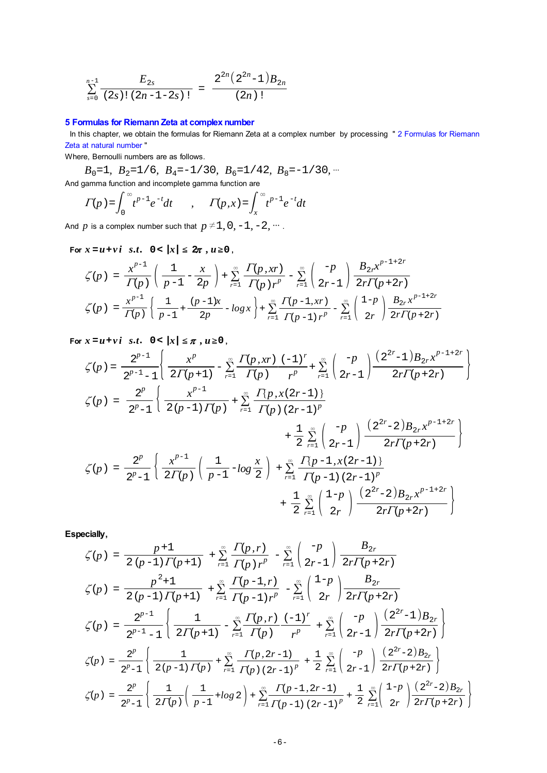$$
\sum_{s=0}^{n-1} \frac{E_{2s}}{(2s)!(2n-1-2s)!} = \frac{2^{2n}(2^{2n}-1)B_{2n}}{(2n)!}
$$

# **5 Formulas for Riemann Zeta at complex number**

In this chapter, we obtain the formulas for Riemann Zeta at a complex number by processing "2 Formulas for Riemann Zeta at natural number "

Where, Bernoulli numbers are as follows.

 $B_0$ =1,  $B_2$ =1/6,  $B_4$ =-1/30,  $B_6$ =1/42,  $B_8$ =-1/30,  $\cdots$ And gamma function and incomplete gamma function are

$$
\Gamma(p) = \int_0^\infty t^{p-1} e^{-t} dt \qquad , \qquad \Gamma(p, x) = \int_x^\infty t^{p-1} e^{-t} dt
$$

And *p* is a complex number such that  $p \neq 1, 0, -1, -2, \dots$ .

 **For**  $x = u + vi$   $s.t.$   $0 < |x| \leq 2\pi$ ,  $u \geq 0$ ,

$$
\begin{split} \zeta(p) \; &= \; \frac{x^{p-1}}{\Gamma(p)} \left( \; \frac{1}{p-1} - \frac{x}{2p} \; \right) + \sum_{r=1}^{\infty} \frac{\Gamma(p, x r)}{\Gamma(p) \, r^p} - \sum_{r=1}^{\infty} \left( \frac{-p}{2r-1} \right) \frac{B_{2r} x^{p-1+2r}}{2r \Gamma(p+2r)} \\ \zeta(p) \; &= \frac{x^{p-1}}{\Gamma(p)} \left\{ \frac{1}{p-1} + \frac{(p-1)x}{2p} - \log x \right\} + \sum_{r=1}^{\infty} \frac{\Gamma(p-1, x r)}{\Gamma(p-1) \, r^p} - \sum_{r=1}^{\infty} \left( \frac{1-p}{2r} \right) \frac{B_{2r} x^{p-1+2r}}{2r \Gamma(p+2r)} \end{split}
$$

 **For**  $x = u + vi$  *s.t.*  $0 < |x| \le \pi$ ,  $u \ge 0$ ,

$$
\zeta(p) = \frac{2^{p-1}}{2^{p-1}-1} \left\{ \frac{x^p}{2\Gamma(p+1)} - \sum_{r=1}^{\infty} \frac{\Gamma(p,xr) (-1)^r}{\Gamma(p)} + \sum_{r=1}^{\infty} \left( \frac{-p}{2r-1} \right) \frac{(2^{2r}-1)B_{2r}x^{p-1+2r}}{2r\Gamma(p+2r)} \right\}
$$
  

$$
\zeta(p) = \frac{2^p}{2^p-1} \left\{ \frac{x^{p-1}}{2(p-1)\Gamma(p)} + \sum_{r=1}^{\infty} \frac{\Gamma(p,x(2r-1))}{\Gamma(p)(2r-1)^p} + \frac{1}{2} \sum_{r=1}^{\infty} \left( \frac{-p}{2r-1} \right) \frac{(2^{2r}-2)B_{2r}x^{p-1+2r}}{2r\Gamma(p+2r)} \right\}
$$
  

$$
\zeta(p) = \frac{2^p}{2^p-1} \left\{ \frac{x^{p-1}}{2\Gamma(p)} \left( \frac{1}{p-1} - \log \frac{x}{2} \right) + \sum_{r=1}^{\infty} \frac{\Gamma(p-1,x(2r-1))}{\Gamma(p-1)(2r-1)^p} + \frac{1}{2} \sum_{r=1}^{\infty} \left( \frac{1-p}{2r} \right) \frac{(2^{2r}-2)B_{2r}x^{p-1+2r}}{2r\Gamma(p+2r)} \right\}
$$

**Especially,**

$$
\zeta(p) = \frac{p+1}{2(p-1)\Gamma(p+1)} + \sum_{r=1}^{\infty} \frac{\Gamma(p,r)}{\Gamma(p)\,r^p} - \sum_{r=1}^{\infty} \binom{-p}{2r-1} \frac{B_{2r}}{2r\Gamma(p+2r)}
$$
  
\n
$$
\zeta(p) = \frac{p^2+1}{2(p-1)\Gamma(p+1)} + \sum_{r=1}^{\infty} \frac{\Gamma(p-1,r)}{\Gamma(p-1)\,r^p} - \sum_{r=1}^{\infty} \binom{1-p}{2r} \frac{B_{2r}}{2r\Gamma(p+2r)}
$$
  
\n
$$
\zeta(p) = \frac{2^{p-1}}{2^{p-1}-1} \left\{ \frac{1}{2\Gamma(p+1)} - \sum_{r=1}^{\infty} \frac{\Gamma(p,r)}{\Gamma(p)} \frac{(-1)^r}{r^p} + \sum_{r=1}^{\infty} \binom{-p}{2r-1} \frac{(2^{2r}-1)B_{2r}}{2r\Gamma(p+2r)} \right\}
$$
  
\n
$$
\zeta(p) = \frac{2^p}{2^p-1} \left\{ \frac{1}{2(p-1)\Gamma(p)} + \sum_{r=1}^{\infty} \frac{\Gamma(p,2r-1)}{\Gamma(p)(2r-1)^p} + \frac{1}{2} \sum_{r=1}^{\infty} \binom{-p}{2r-1} \frac{(2^{2r}-2)B_{2r}}{2r\Gamma(p+2r)} \right\}
$$
  
\n
$$
\zeta(p) = \frac{2^p}{2^p-1} \left\{ \frac{1}{2\Gamma(p)} \left( \frac{1}{p-1} + \log 2 \right) + \sum_{r=1}^{\infty} \frac{\Gamma(p-1,2r-1)}{\Gamma(p-1)(2r-1)^p} + \frac{1}{2} \sum_{r=1}^{\infty} \binom{1-p}{2r} \frac{(2^{2r}-2)B_{2r}}{2r\Gamma(p+2r)} \right\}
$$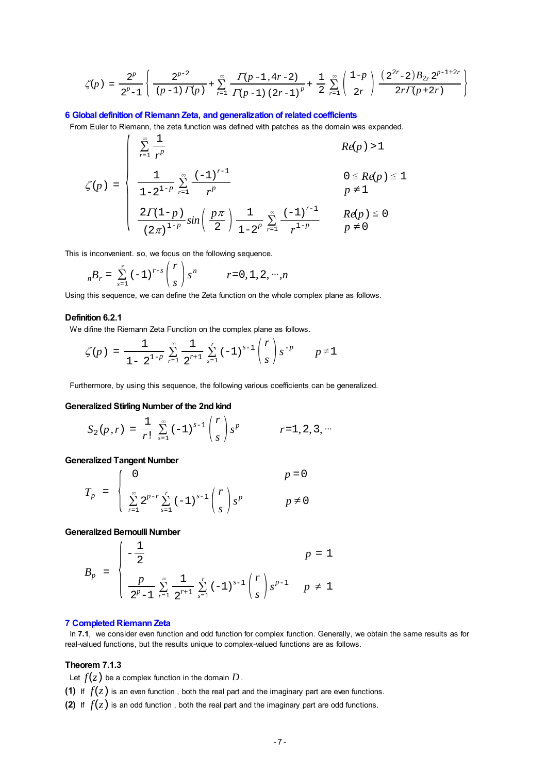$$
\zeta(p) \;=\; \frac{2^p}{2^p-1} \left\{ \,\frac{2^{p-2}}{(p-1)\,\varGamma(p)} \,+\, \sum_{r=1}^\infty \frac{\varGamma(p-1,\,4r-2)}{\varGamma(p-1)\,\left(2r-1\right)^p} \,+\, \frac{1}{2}\,\sum_{r=1}^\infty \left(\frac{1-p}{2r}\right)\frac{\left(\,2^{2r}-2\right)B_{2r}\,2^{p-1+2r}}{2r\varGamma(p+2r)}\,\right\}
$$

### **6 Global definition of Riemann Zeta, and generalization of related coefficients**

 From Euler to Riemann, the zeta function was defined with patches as the domain was expanded.  $\mathbf{r}$ 

$$
\zeta(p) = \begin{cases}\n\sum_{r=1}^{\infty} \frac{1}{r^p} & Re(p) > 1 \\
\frac{1}{1 - 2^{1 - p}} \sum_{r=1}^{\infty} \frac{(-1)^{r-1}}{r^p} & 0 \leq Re(p) \leq 1 \\
\frac{2\Gamma(1-p)}{(2\pi)^{1 - p}} sin\left(\frac{p\pi}{2}\right) \frac{1}{1 - 2^p} \sum_{r=1}^{\infty} \frac{(-1)^{r-1}}{r^{1 - p}} & Re(p) \leq 0 \\
p \neq 0 & p \neq 0\n\end{cases}
$$

This is inconvenient. so, we focus on the following sequence.

$$
_{n}B_{r} = \sum_{s=1}^{r} (-1)^{r-s} {r \choose s} s^{n}
$$
  $r=0, 1, 2, ..., n$ 

Using this sequence, we can define the Zeta function on the whole complex plane as follows.

## **Definition 6.2.1**

We difine the Riemann Zeta Function on the complex plane as follows.

$$
\zeta(p) = \frac{1}{1-2^{1-p}} \sum_{r=1}^{\infty} \frac{1}{2^{r+1}} \sum_{s=1}^{r} (-1)^{s-1} {r \choose s} s^{-p} \qquad p \neq 1
$$

Furthermore, by using this sequence, the following various coefficients can be generalized.

#### **Generalized Stirling Number of the 2nd kind**

$$
S_2(p,r) = \frac{1}{r!} \sum_{s=1}^{\infty} (-1)^{s-1} {r \choose s} s^p \qquad r=1, 2, 3, \cdots
$$

#### **Generalized Tangent Number**

$$
T_p = \begin{cases} 0 & p = 0\\ \sum_{r=1}^{\infty} 2^{p-r} \sum_{s=1}^{r} (-1)^{s-1} {r \choose s} s^p & p \neq 0 \end{cases}
$$

**Generalized Bernoulli Number**

$$
B_p = \begin{cases} -\frac{1}{2} & p = 1\\ \frac{p}{2^p - 1} \sum_{r=1}^{\infty} \frac{1}{2^{r+1}} \sum_{s=1}^r (-1)^{s-1} {r \choose s} s^{p-1} & p \neq 1 \end{cases}
$$

### **7 Completed Riemann Zeta**

 In **7.1**, we consider even function and odd function for complex function. Generally, we obtain the same results as for real-valued functions, but the results unique to complex-valued functions are as follows.

### **Theorem 7.1.3**

Let  $f(z)$  be a complex function in the domain  $D$ .

**(1)** If  $f(z)$  is an even function, both the real part and the imaginary part are even functions.

**(2)** If  $f(z)$  is an odd function, both the real part and the imaginary part are odd functions.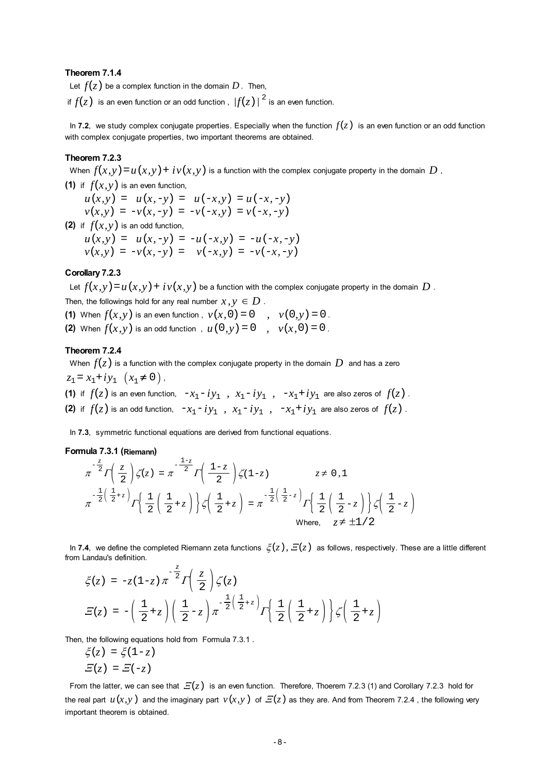## **Theorem 7.1.4**

Let  $f(z)$  be a complex function in the domain  $D$ . Then,

if  $f(z)$  is an even function or an odd function,  $|f(z)|^2$  is an even function.

In 7.2, we study complex conjugate properties. Especially when the function  $f(z)$  is an even function or an odd function with complex conjugate properties, two important theorems are obtained.

### **Theorem 7.2.3**

When  $f(x, y) = u(x, y) + iv(x, y)$  is a function with the complex conjugate property in the domain *D*,

**(1)** if  $f(x, y)$  is an even function,

 $u(x, y) = u(x, -y) = u(-x, y) = u(-x, -y)$  $v(x, y) = -v(x, -y) = -v(-x, y) = v(-x, -y)$ 

**(2)** if  $f(x, y)$  is an odd function,

 $u(x, y) = u(x, -y) = -u(-x, y) = -u(-x, -y)$  $v(x, y) = -v(x, -y) = v(-x, y) = -v(-x, -y)$ 

### **Corollary 7.2.3**

Let  $f(x, y) = u(x, y) + iv(x, y)$  be a function with the complex conjugate property in the domain *D*.

Then, the followings hold for any real number  $x, y \in D$ .

- **(1)** When  $f(x, y)$  is an even function ,  $y(x, 0) = 0$  ,  $y(0, y) = 0$ .
- **(2)** When  $f(x, y)$  is an odd function ,  $u(0, y) = 0$  ,  $v(x, 0) = 0$ .

#### **Theorem 7.2.4**

When  $f(z)$  is a function with the complex conjugate property in the domain  $D$  and has a zero  $z_1 = x_1 + iy_1$   $(x_1 \neq 0)$ , **(1)** if  $f(z)$  is an even function,  $-x_1 - iy_1$ ,  $x_1 - iy_1$ ,  $-x_1 + iy_1$  are also zeros of  $f(z)$ . **(2)** if  $f(z)$  is an odd function,  $-x_1-iy_1$ ,  $x_1-iy_1$ ,  $-x_1+iy_1$  are also zeros of  $f(z)$ .

In **7.3**, symmetric functional equations are derived from functional equations.

## **Formula 7.3.1 (Riemann)**

$$
\pi^{-\frac{z}{2}}\Gamma\left(\frac{z}{2}\right)\zeta(z) = \pi^{-\frac{1-z}{2}}\Gamma\left(\frac{1-z}{2}\right)\zeta(1-z) \qquad z \neq 0,1
$$
  

$$
\pi^{-\frac{1}{2}\left(\frac{1}{2}+z\right)}\Gamma\left\{\frac{1}{2}\left(\frac{1}{2}+z\right)\right\}\zeta\left(\frac{1}{2}+z\right) = \pi^{-\frac{1}{2}\left(\frac{1}{2}-z\right)}\Gamma\left\{\frac{1}{2}\left(\frac{1}{2}-z\right)\right\}\zeta\left(\frac{1}{2}-z\right)
$$
  
Where,  $z \neq \pm 1/2$ 

In 7.4, we define the completed Riemann zeta functions  $\zeta(z)$ ,  $\Xi(z)$  as follows, respectively. These are a little different from Landau's definition.

$$
\xi(z) = -z(1-z)\pi^{-\frac{z}{2}}\Gamma\left(\frac{z}{2}\right)\zeta(z)
$$
  

$$
\mathcal{E}(z) = -\left(\frac{1}{2}+z\right)\left(\frac{1}{2}-z\right)\pi^{-\frac{1}{2}\left(\frac{1}{2}+z\right)}\Gamma\left\{\frac{1}{2}\left(\frac{1}{2}+z\right)\right\}\zeta\left(\frac{1}{2}+z\right)
$$

Then, the following equations hold from Formula 7.3.1.

$$
\xi(z) = \xi(1-z)
$$

$$
\Xi(z) = \Xi(-z)
$$

From the latter, we can see that  $E(z)$  is an even function. Therefore, Thoerem 7.2.3 (1) and Corollary 7.2.3 hold for the real part  $u(x, y)$  and the imaginary part  $v(x, y)$  of  $E(z)$  as they are. And from Theorem 7.2.4, the following very important theorem is obtained.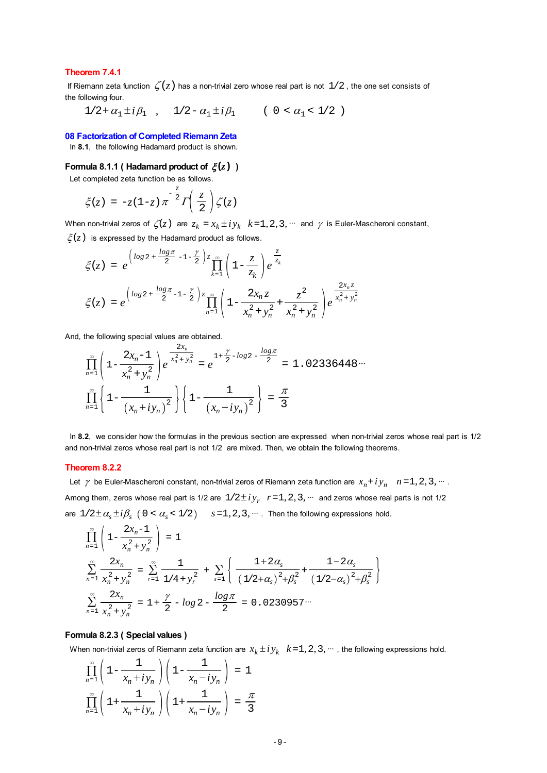## **Theorem 7.4.1**

If Riemann zeta function  $\zeta(z)$  has a non-trivial zero whose real part is not  $1/2$ , the one set consists of the following four.

 $1/2 + \alpha_1 \pm i\beta_1$ ,  $1/2 - \alpha_1 \pm i\beta_1$  (  $0 < \alpha_1 < 1/2$  )

#### **08 Factorization of Completed Riemann Zeta**

In **8.1**, the following Hadamard product is shown.

## **Formula 8.1.1 ( Hadamard product of**  $\zeta(z)$  **)**

Let completed zeta function be as follows.

$$
\xi(z) = -z(1-z)\pi^{-\frac{z}{2}}\Gamma\left(\frac{z}{2}\right)\zeta(z)
$$

When non-trivial zeros of  $\zeta(z)$  are  $z_k = x_k \pm iy_k$   $k=1, 2, 3, \dots$  and  $\gamma$  is Euler-Mascheroni constant,

 $\xi(z)$  is expressed by the Hadamard product as follows.

$$
\xi(z) = e^{\left(\log 2 + \frac{\log \pi}{2} - 1 - \frac{\gamma}{2}\right)z} \prod_{k=1}^{\infty} \left(1 - \frac{z}{z_k}\right) e^{\frac{z}{z_k}}
$$
  

$$
\xi(z) = e^{\left(\log 2 + \frac{\log \pi}{2} - 1 - \frac{\gamma}{2}\right)z} \prod_{n=1}^{\infty} \left(1 - \frac{2x_n z}{x_n^2 + y_n^2} + \frac{z^2}{x_n^2 + y_n^2}\right) e^{\frac{2x_n z}{x_n^2 + y_n^2}}
$$

And, the following special values are obtained.

$$
\prod_{n=1}^{\infty} \left( 1 - \frac{2x_n - 1}{x_n^2 + y_n^2} \right) e^{-\frac{2x_n}{x_n^2 + y_n^2}} = e^{-1 + \frac{\gamma}{2} - \log 2 - \frac{\log \pi}{2}} = 1.02336448\dots
$$

$$
\prod_{n=1}^{\infty} \left\{ 1 - \frac{1}{\left(x_n + iy_n\right)^2} \right\} \left\{ 1 - \frac{1}{\left(x_n - iy_n\right)^2} \right\} = \frac{\pi}{3}
$$

 In **8.2**, we consider how the formulas in the previous section are expressed when non-trivial zeros whose real part is 1/2 and non-trivial zeros whose real part is not 1/2 are mixed. Then, we obtain the following theorems.

#### **Theorem 8.2.2**

Let  $\gamma$  be Euler-Mascheroni constant, non-trivial zeros of Riemann zeta function are  $x_n + iy_n$   $n=1, 2, 3, ...$ . Among them, zeros whose real part is 1/2 are  $1/2 \pm iy_r$ ,  $r=1, 2, 3, \dots$  and zeros whose real parts is not 1/2 are  $1/2 \pm \alpha_s \pm i\beta_s$  (  $0 < \alpha_s < 1/2$  )  $s = 1, 2, 3, \dots$  Then the following expressions hold. 2*x* 1 \  $\mathcal{L}$ 

$$
\prod_{n=1}^{\infty} \left( 1 - \frac{2x_n - 1}{x_n^2 + y_n^2} \right) = 1
$$
\n
$$
\sum_{n=1}^{\infty} \frac{2x_n}{x_n^2 + y_n^2} = \sum_{r=1}^{\infty} \frac{1}{1/4 + y_r^2} + \sum_{s=1}^{\infty} \left\{ \frac{1 + 2\alpha_s}{(1/2 + \alpha_s)^2 + \beta_s^2} + \frac{1 - 2\alpha_s}{(1/2 - \alpha_s)^2 + \beta_s^2} \right\}
$$
\n
$$
\sum_{n=1}^{\infty} \frac{2x_n}{x_n^2 + y_n^2} = 1 + \frac{\gamma}{2} - \log 2 - \frac{\log \pi}{2} = 0.0230957...
$$

### **Formula 8.2.3 ( Special values )**

When non-trivial zeros of Riemann zeta function are  $x_k \pm iy_k$   $k=1, 2, 3, \dots$ , the following expressions hold.

$$
\prod_{n=1}^{\infty} \left( 1 - \frac{1}{x_n + iy_n} \right) \left( 1 - \frac{1}{x_n - iy_n} \right) = 1
$$
  

$$
\prod_{n=1}^{\infty} \left( 1 + \frac{1}{x_n + iy_n} \right) \left( 1 + \frac{1}{x_n - iy_n} \right) = \frac{\pi}{3}
$$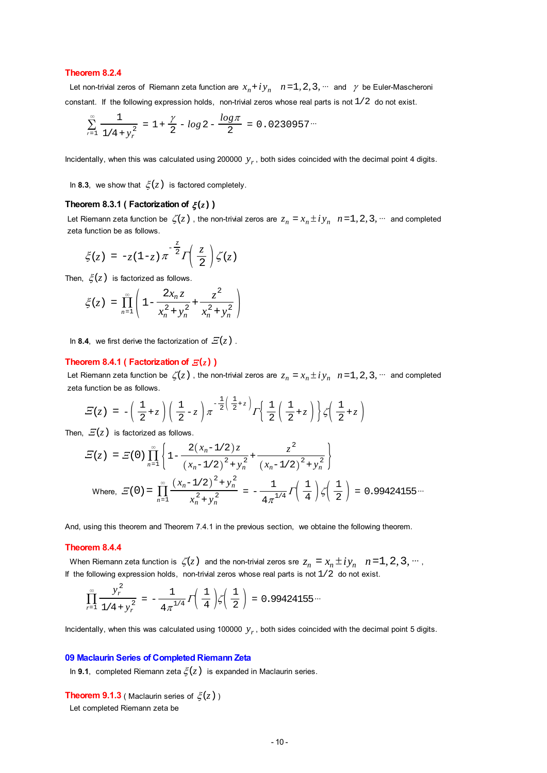## **Theorem 8.2.4**

Let non-trivial zeros of Riemann zeta function are  $x_n + iy_n$   $n = 1, 2, 3, ...$  and  $\gamma$  be Euler-Mascheroni constant. If the following expression holds, non-trivial zeros whose real parts is not  $1/2$  do not exist.

$$
\sum_{r=1}^{\infty} \frac{1}{1/4 + y_r^2} = 1 + \frac{\gamma}{2} - \log 2 - \frac{\log \pi}{2} = 0.0230957 \cdots
$$

Incidentally, when this was calculated using 200000  $y_r$ , both sides coincided with the decimal point 4 digits.

In 8.3, we show that  $\xi(z)$  is factored completely.

## **Theorem 8.3.1 ( Factorization of**  $\xi(z)$  **)**

Let Riemann zeta function be  $\zeta(z)$ , the non-trivial zeros are  $z_n = x_n \pm iy_n$   $n = 1, 2, 3, \dots$  and completed zeta function be as follows.

$$
\xi(z) = -z(1-z)\pi^{-\frac{z}{2}} \Gamma\left(\frac{z}{2}\right) \zeta(z)
$$

Then,  $\xi(z)$  is factorized as follows.

$$
\xi(z) = \prod_{n=1}^{\infty} \left( 1 - \frac{2x_n z}{x_n^2 + y_n^2} + \frac{z^2}{x_n^2 + y_n^2} \right)
$$

In 8.4, we first derive the factorization of  $E(z)$ .

#### **Theorem 8.4.1 ( Factorization of**  $E(z)$  **)**

Let Riemann zeta function be  $\zeta(z)$ , the non-trivial zeros are  $z_n = x_n \pm iy_n$   $n = 1, 2, 3, \dots$  and completed zeta function be as follows.

$$
\mathcal{Z}(z) = -\left(\frac{1}{2}+z\right)\left(\frac{1}{2}-z\right)\pi^{-\frac{1}{2}\left(\frac{1}{2}+z\right)}\Gamma\left\{\frac{1}{2}\left(\frac{1}{2}+z\right)\right\}\zeta\left(\frac{1}{2}+z\right)
$$

Then,  $E(z)$  is factorized as follows.

$$
\mathcal{E}(z) = \mathcal{E}(0) \prod_{n=1}^{\infty} \left\{ 1 - \frac{2(x_n - 1/2)z}{(x_n - 1/2)^2 + y_n^2} + \frac{z^2}{(x_n - 1/2)^2 + y_n^2} \right\}
$$
  
Where, 
$$
\mathcal{E}(0) = \prod_{n=1}^{\infty} \frac{(x_n - 1/2)^2 + y_n^2}{x_n^2 + y_n^2} = -\frac{1}{4\pi^{1/4}} \Gamma\left(\frac{1}{4}\right) \zeta\left(\frac{1}{2}\right) = 0.99424155...
$$

And, using this theorem and Theorem 7.4.1 in the previous section, we obtaine the following theorem.

#### **Theorem 8.4.4**

When Riemann zeta function is  $\zeta(z)$  and the non-trivial zeros sre  $z_n = x_n \pm iy_n$   $n = 1, 2, 3, ...$ If the following expression holds, non-trivial zeros whose real parts is not  $1/2$  do not exist.

$$
\prod_{r=1}^{\infty} \frac{y_r^2}{1/4 + y_r^2} = -\frac{1}{4\pi^{1/4}} \Gamma\left(\frac{1}{4}\right) \zeta\left(\frac{1}{2}\right) = 0.99424155\cdots
$$

Incidentally, when this was calculated using 100000  $y_r$ , both sides coincided with the decimal point 5 digits.

#### **09 Maclaurin Series of Completed Riemann Zeta**

In **9.1**, completed Riemann zeta  $\xi(z)$  is expanded in Maclaurin series.

**Theorem 9.1.3** ( Maclaurin series of  $\xi(z)$  )

Let completed Riemann zeta be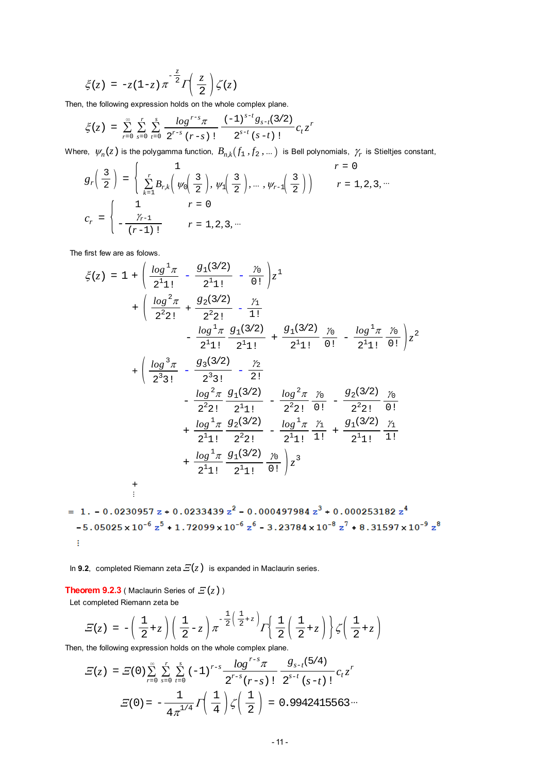$$
\xi(z) = -z(1-z)\pi^{-\frac{z}{2}}\Gamma\left(\frac{z}{2}\right)\zeta(z)
$$

Then, the following expression holds on the whole complex plane.

$$
\xi(z) = \sum_{r=0}^{\infty} \sum_{s=0}^{r} \sum_{t=0}^{s} \frac{\log^{r-s} \pi}{2^{r-s} (r-s) t} \frac{(-1)^{s-t} g_{s-t}(3/2)}{2^{s-t} (s-t) t} c_t z^r
$$

Where,  $\psi_n(z)$  is the polygamma function,  $B_{n,k}(f_1, f_2, ...)$  is Bell polynomials,  $\gamma_r$  is Stieltjes constant,

$$
g_r\left(\frac{3}{2}\right) = \begin{cases} 1 & r = 0 \\ \sum_{k=1}^r B_{r,k}\left(\psi_0\left(\frac{3}{2}\right), \psi_1\left(\frac{3}{2}\right), \dots, \psi_{r-1}\left(\frac{3}{2}\right)\right) & r = 1, 2, 3, \dots \end{cases}
$$
  

$$
c_r = \begin{cases} 1 & r = 0 \\ -\frac{\gamma_{r-1}}{(r-1)!} & r = 1, 2, 3, \dots \end{cases}
$$

The first few are as folows.

$$
\xi(z) = 1 + \left(\frac{\log^{1} \pi}{2^{1} 1!} - \frac{g_{1}(3/2)}{2^{1} 1!} - \frac{\gamma_{0}}{0!}\right)z^{1} + \left(\frac{\log^{2} \pi}{2^{2} 2!} + \frac{g_{2}(3/2)}{2^{2} 2!} - \frac{\gamma_{1}}{1!} - \frac{\log^{1} \pi}{2^{1} 1!} \frac{g_{1}(3/2)}{2^{1} 1!} + \frac{g_{1}(3/2)}{2^{1} 1!} \frac{\gamma_{0}}{0!} - \frac{\log^{1} \pi}{2^{1} 1!} \frac{\gamma_{0}}{0!}\right)z^{2} + \left(\frac{\log^{3} \pi}{2^{3} 3!} - \frac{g_{3}(3/2)}{2^{3} 1!} - \frac{\gamma_{2}}{2!} - \frac{\log^{2} \pi}{2^{2} 1!} \frac{g_{1}(3/2)}{2^{1} 1!} - \frac{\log^{2} \pi}{2^{2} 2!} \frac{\gamma_{0}}{0!} - \frac{g_{2}(3/2)}{2^{2} 1!} \frac{\gamma_{0}}{0!} + \frac{\log^{1} \pi}{2^{1} 1!} \frac{g_{2}(3/2)}{2^{2} 2!} - \frac{\log^{1} \pi}{2^{1} 1!} \frac{\gamma_{1}}{1!} + \frac{g_{1}(3/2)}{2^{1} 1!} \frac{\gamma_{1}}{1!} + \frac{\log^{1} \pi}{2^{1} 1!} \frac{g_{1}(3/2)}{2^{1} 1!} \frac{\gamma_{1}}{2^{1} 1!} + \frac{\log^{1} \pi}{2^{1} 1!} \frac{g_{1}(3/2)}{2^{1} 1!} \frac{\gamma_{0}}{2^{1} 1!} + \frac{\log^{1} \pi}{2^{1} 1!} \frac{g_{1}(3/2)}{2^{1} 1!} \frac{\gamma_{0}}{2^{1} 1!} + \frac{\log^{1} \pi}{2^{1} 1!} \frac{g_{1}(3/2)}{2^{1} 1!} \frac{\gamma_{0}}{2^{1} 1!} \frac{z^{3}}{2^{1} 1!} + \frac{\log^{1} \pi}{2^{1} 1!} \frac{g_{1}(3/2)}{2^{1} 1!} \
$$

= 1. - 0.0230957 z + 0.0233439  $z^2$  - 0.000497984  $z^3$  + 0.000253182  $z^4$  $-5.05025 \times 10^{-6} z^{5} + 1.72099 \times 10^{-6} z^{6} - 3.23784 \times 10^{-8} z^{7} + 8.31597 \times 10^{-9} z^{8}$ H.

In **9.2**, completed Riemann zeta  $E(z)$  is expanded in Maclaurin series.

**Theorem 9.2.3** ( Maclaurin Series of  $E(z)$  )

Let completed Riemann zeta be

$$
\mathcal{E}(z) = -\left(\frac{1}{2} + z\right) \left(\frac{1}{2} - z\right) \pi^{-\frac{1}{2}\left(\frac{1}{2} + z\right)} \Gamma\left(\frac{1}{2}\left(\frac{1}{2} + z\right)\right) \zeta\left(\frac{1}{2} + z\right)
$$

Then, the following expression holds on the whole complex plane.

$$
E(z) = E(0) \sum_{r=0}^{\infty} \sum_{s=0}^{r} \sum_{t=0}^{s} (-1)^{r-s} \frac{\log^{r-s} \pi}{2^{r-s} (r-s)!} \frac{g_{s-t}(5/4)}{2^{s-t} (s-t)!} c_t z^r
$$

$$
E(0) = -\frac{1}{4\pi^{1/4}} \Gamma\left(\frac{1}{4}\right) \zeta\left(\frac{1}{2}\right) = 0.9942415563\cdots
$$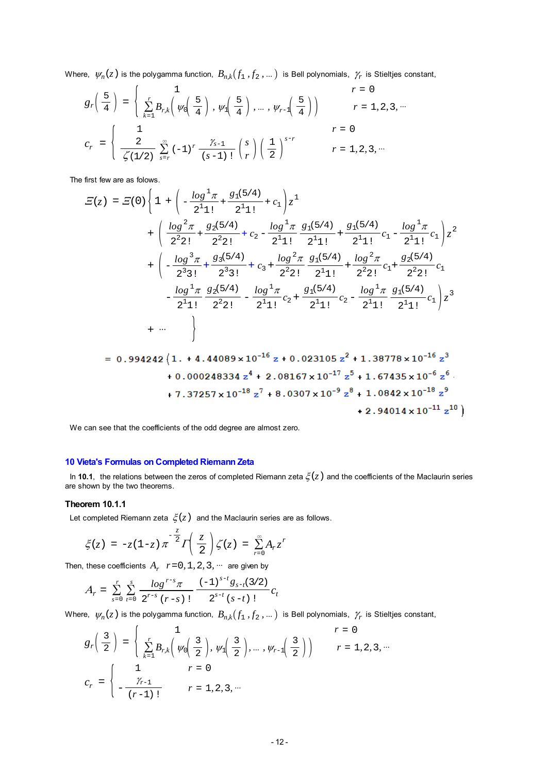Where,  $\psi_n(z)$  is the polygamma function,  $B_{n,k}(f_1, f_2, ...)$  is Bell polynomials,  $\gamma_r$  is Stieltjes constant,

$$
g_r\left(\frac{5}{4}\right) = \begin{cases} 1 & r = 0 \\ \sum_{k=1}^r B_{r,k} \left(\psi_0\left(\frac{5}{4}\right), \psi_1\left(\frac{5}{4}\right), \dots, \psi_{r-1}\left(\frac{5}{4}\right)\right) & r = 1, 2, 3, \dots \\ \frac{2}{\zeta(1/2)} \sum_{s=r}^{\infty} (-1)^r \frac{\gamma_{s-1}}{(s-1)!} \binom{s}{r} \left(\frac{1}{2}\right)^{s-r} & r = 1, 2, 3, \dots \end{cases}
$$

The first few are as folows.

$$
E(z) = E(0) \left\{ 1 + \left( -\frac{\log^{1} \pi}{2^{1} 1!} + \frac{g_{1}(5/4)}{2^{1} 1!} + c_{1} \right) z^{1} + \left( \frac{\log^{2} \pi}{2^{2} 2!} + \frac{g_{2}(5/4)}{2^{2} 2!} + c_{2} - \frac{\log^{1} \pi}{2^{1} 1!} \frac{g_{1}(5/4)}{2^{1} 1!} + \frac{g_{1}(5/4)}{2^{1} 1!} c_{1} - \frac{\log^{1} \pi}{2^{1} 1!} c_{1} \right) z^{2} + \left( -\frac{\log^{3} \pi}{2^{3} 3!} + \frac{g_{3}(5/4)}{2^{3} 3!} + c_{3} + \frac{\log^{2} \pi}{2^{2} 2!} \frac{g_{1}(5/4)}{2^{1} 1!} + \frac{\log^{2} \pi}{2^{2} 2!} c_{1} + \frac{g_{2}(5/4)}{2^{2} 2!} c_{1} - \frac{\log^{1} \pi}{2^{1} 1!} \frac{g_{2}(5/4)}{2^{2} 2!} - \frac{\log^{1} \pi}{2^{1} 1!} c_{2} + \frac{g_{1}(5/4)}{2^{1} 1!} c_{2} - \frac{\log^{1} \pi}{2^{1} 1!} \frac{g_{1}(5/4)}{2^{1} 1!} c_{1} \right\} z^{3} + \cdots \right\}
$$
  
= 0.994242 {1. + 4.44089 x 10<sup>-16</sup> z + 0.023105 z<sup>2</sup> + 1.38778 x 10<sup>-16</sup> z<sup>3</sup>

$$
+ 0.000248334 z4 + 2.08167 x 10-17 z5 + 1.67435 x 10-6 z6
$$
  
+ 7.37257 x 10<sup>-18</sup> z<sup>7</sup> + 8.0307 x 10<sup>-9</sup> z<sup>8</sup> + 1.0842 x 10<sup>-18</sup> z<sup>9</sup>  
+ 2.94014 x 10<sup>-11</sup> z<sup>10</sup>)

We can see that the coefficients of the odd degree are almost zero.

# **10 Vieta's Formulas on Completed Riemann Zeta**

In 10.1, the relations between the zeros of completed Riemann zeta  $\xi(z)$  and the coefficients of the Maclaurin series are shown by the two theorems.

## **Theorem 10.1.1**

Let completed Riemann zeta  $\zeta(z)$  and the Maclaurin series are as follows.

$$
\xi(z) = -z(1-z)\pi^{-\frac{z}{2}}\Gamma\left(\frac{z}{2}\right)\zeta(z) = \sum_{r=0}^{\infty} A_r z^r
$$

Then, these coefficients  $A_r$   $r=0, 1, 2, 3, \cdots$  are given by

$$
A_r = \sum_{s=0}^r \sum_{t=0}^s \frac{\log^{r-s} \pi}{2^{r-s} (r-s)!} \frac{(-1)^{s-t} g_{s-t}(3/2)}{2^{s-t} (s-t)!} c_t
$$

Where,  $\psi_n(z)$  is the polygamma function,  $B_{n,k}(f_1, f_2, ...)$  is Bell polynomials,  $\gamma_r$  is Stieltjes constant,

$$
g_r\left(\frac{3}{2}\right) = \begin{cases} 1 & r = 0 \\ \sum_{k=1}^r B_{r,k}\left(\psi_0\left(\frac{3}{2}\right), \psi_1\left(\frac{3}{2}\right), \dots, \psi_{r-1}\left(\frac{3}{2}\right)\right) & r = 1, 2, 3, \dots \end{cases}
$$
  

$$
c_r = \begin{cases} 1 & r = 0 \\ -\frac{\gamma_{r-1}}{(r-1)!} & r = 1, 2, 3, \dots \end{cases}
$$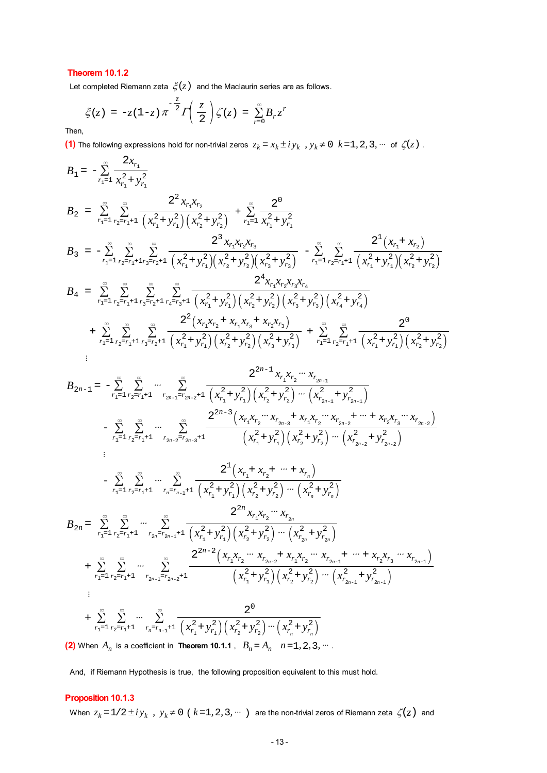# **Theorem 10.1.2**

Let completed Riemann zeta  $\xi(z)$  and the Maclaurin series are as follows.

$$
\xi(z) = -z(1-z)\pi^{-\frac{z}{2}}\Gamma\left(\frac{z}{2}\right)\zeta(z) = \sum_{r=0}^{\infty}B_r z^r
$$

Then,

**(1)** The following expressions hold for non-trivial zeros  $z_k = x_k \pm iy_k$ ,  $y_k \neq 0$   $k = 1, 2, 3, \dots$  of  $\zeta(z)$ .

$$
B_{1} = -\sum_{r_{1}=1}^{\infty} \frac{2x_{r_{1}}}{x_{r_{1}}^{2} + y_{r_{1}}^{2}}
$$
\n
$$
B_{2} = \sum_{r_{1}=1}^{\infty} \sum_{r_{2}=r_{1}+1}^{\infty} \frac{2^{2}x_{r_{1}x_{r_{2}}}}{(x_{r_{1}}^{2} + y_{r_{1}}^{2})(x_{r_{2}}^{2} + y_{r_{2}}^{2})} + \sum_{r_{1}=1}^{\infty} \frac{2^{0}}{x_{r_{1}}^{2} + y_{r_{1}}^{2}}
$$
\n
$$
B_{3} = -\sum_{r_{1}=1}^{\infty} \sum_{r_{2}=r_{1}+1}^{\infty} \sum_{r_{3}=r_{2}+1}^{\infty} \frac{2^{3}x_{r_{1}x_{r_{2}}x_{r_{3}}}}{(x_{r_{1}}^{2} + y_{r_{1}}^{2})(x_{r_{2}}^{2} + y_{r_{2}}^{2})(x_{r_{3}}^{2} + y_{r_{3}}^{2})} - \sum_{r_{1}=1}^{\infty} \sum_{r_{2}=r_{1}+1}^{\infty} \frac{2^{1}(x_{r_{1}} + x_{r_{2}})}{(x_{r_{1}}^{2} + y_{r_{1}}^{2})(x_{r_{2}}^{2} + y_{r_{2}}^{2})}
$$
\n
$$
B_{4} = \sum_{r_{1}=1}^{\infty} \sum_{r_{2}=r_{1}+1}^{\infty} \sum_{r_{3}=r_{2}+1}^{\infty} \sum_{r_{4}=r_{3}+1}^{\infty} \frac{2^{4}x_{r_{1}x_{r_{2}}x_{r_{3}}x_{r_{4}}}{(x_{r_{1}}^{2} + y_{r_{1}}^{2})(x_{r_{2}}^{2} + y_{r_{2}}^{2})(x_{r_{3}}^{2} + y_{r_{3}}^{2})(x_{r_{4}}^{2} + y_{r_{4}}^{2})}
$$
\n
$$
+ \sum_{r_{1}=1}^{\infty} \sum_{r_{2}=r_{1}+1}^{\infty} \sum_{r_{3}=r_{2}+1}^{\infty} \frac{2^{2}(x_{r_{1}x_{r_{2}}x_{r_{3}}x_{r_{4}}x_{r_{2}}x_{r_{3}})}{(x_{r_{2}}^{2} + y
$$

$$
B_{2n-1} = -\sum_{r_1=1}^{\infty} \sum_{r_2=r_1+1}^{\infty} \cdots \sum_{r_{2n-1}=r_{2n-2}+1}^{\infty} \frac{2^{2n-1} x_{r_1} x_{r_2} \cdots x_{r_{2n-1}}}{(x_{r_1}^2 + y_{r_1}^2)(x_{r_2}^2 + y_{r_2}^2) \cdots (x_{r_{2n-1}}^2 + y_{r_{2n-1}}^2)}
$$
\n
$$
- \sum_{r_1=1}^{\infty} \sum_{r_2=r_1+1}^{\infty} \cdots \sum_{r_{2n-2}=r_{2n-3}+1}^{\infty} \frac{2^{2n-3} (x_{r_1} x_{r_2} \cdots x_{r_{2n-3}} + x_{r_1} x_{r_2} \cdots x_{r_{2n-2}} + \cdots + x_{r_2} x_{r_3} \cdots x_{r_{2n-2}})}{(x_{r_1}^2 + y_{r_1}^2)(x_{r_2}^2 + y_{r_2}^2) \cdots (x_{r_{2n-2}}^2 + y_{r_{2n-2}}^2)}
$$
\n
$$
\vdots
$$
\n
$$
- \sum_{r_1=1}^{\infty} \sum_{r_2=r_1+1}^{\infty} \cdots \sum_{r_n=r_{n-1}+1}^{\infty} \frac{2^1 (x_{r_1} + x_{r_2} + \cdots + x_{r_n})}{(x_{r_1}^2 + y_{r_1}^2)(x_{r_2}^2 + y_{r_2}^2) \cdots (x_{r_n}^2 + y_{r_n}^2)}
$$
\n
$$
B_{2n} = \sum_{r_1=1}^{\infty} \sum_{r_2=r_1+1}^{\infty} \cdots \sum_{r_{2n}=r_{2n-1}+1}^{\infty} \frac{2^{2n-2} (x_{r_1} x_{r_2} \cdots x_{r_{2n}})}{(x_{r_1}^2 + y_{r_1}^2)(x_{r_2}^2 + y_{r_2}^2) \cdots (x_{r_{2n}+1}^2 y_{r_{2n}}^2)}
$$
\n
$$
+ \sum_{r_1=1}^{\infty} \sum_{r_2=r_1+1
$$

**(2)** When  $A_n$  is a coefficient in **Theorem 10.1.1**,  $B_n = A_n$   $n = 1, 2, 3, ...$ 

And, if Riemann Hypothesis is true, the following proposition equivalent to this must hold.

# **Proposition 10.1.3**

When  $z_k = 1/2 \pm i y_k$ ,  $y_k \neq 0$  (  $k = 1, 2, 3, \dots$  ) are the non-trivial zeros of Riemann zeta  $\zeta(z)$  and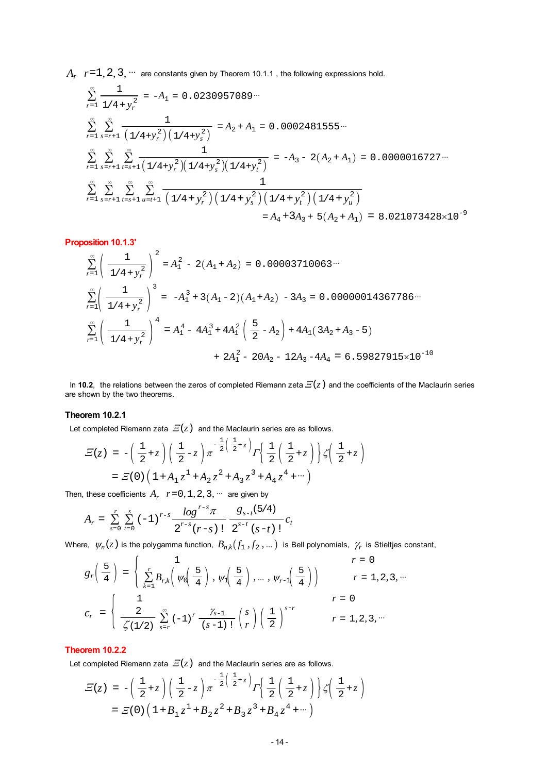$A_r$   $r=1, 2, 3, \cdots$  are constants given by Theorem 10.1.1, the following expressions hold.

$$
\sum_{r=1}^{\infty} \frac{1}{1/4 + y_r^2} = -A_1 = 0.0230957089 \cdots
$$
\n
$$
\sum_{r=1}^{\infty} \sum_{s=r+1}^{\infty} \frac{1}{(1/4 + y_r^2)(1/4 + y_s^2)} = A_2 + A_1 = 0.0002481555 \cdots
$$
\n
$$
\sum_{r=1}^{\infty} \sum_{s=r+1}^{\infty} \sum_{t=s+1}^{\infty} \frac{1}{(1/4 + y_r^2)(1/4 + y_s^2)(1/4 + y_t^2)} = -A_3 - 2(A_2 + A_1) = 0.0000016727 \cdots
$$
\n
$$
\sum_{r=1}^{\infty} \sum_{s=r+1}^{\infty} \sum_{t=s+1}^{\infty} \sum_{u=t+1}^{\infty} \frac{1}{(1/4 + y_r^2)(1/4 + y_s^2)(1/4 + y_t^2)(1/4 + y_u^2)}
$$
\n
$$
= A_4 + 3A_3 + 5(A_2 + A_1) = 8.021073428 \times 10^{-9}
$$

#### **Proposition 10.1.3'**

$$
\sum_{r=1}^{\infty} \left( \frac{1}{1/4 + y_r^2} \right)^2 = A_1^2 - 2(A_1 + A_2) = 0.00003710063\cdots
$$
  

$$
\sum_{r=1}^{\infty} \left( \frac{1}{1/4 + y_r^2} \right)^3 = -A_1^3 + 3(A_1 - 2)(A_1 + A_2) - 3A_3 = 0.00000014367786\cdots
$$
  

$$
\sum_{r=1}^{\infty} \left( \frac{1}{1/4 + y_r^2} \right)^4 = A_1^4 - 4A_1^3 + 4A_1^2 \left( \frac{5}{2} - A_2 \right) + 4A_1(3A_2 + A_3 - 5)
$$
  

$$
+ 2A_1^2 - 20A_2 - 12A_3 - 4A_4 = 6.59827915 \times 10^{-10}
$$

In 10.2, the relations between the zeros of completed Riemann zeta  $E(z)$  and the coefficients of the Maclaurin series are shown by the two theorems.

## **Theorem 10.2.1**

Let completed Riemann zeta  $E(z)$  and the Maclaurin series are as follows.

$$
E(z) = -\left(\frac{1}{2} + z\right) \left(\frac{1}{2} - z\right) \pi^{-\frac{1}{2}\left(\frac{1}{2} + z\right)} \Gamma\left{\frac{1}{2}\left(\frac{1}{2} + z\right)\right} \zeta\left(\frac{1}{2} + z\right)
$$
  
=  $E(0) \left(1 + A_1 z^1 + A_2 z^2 + A_3 z^3 + A_4 z^4 + \cdots\right)$ 

Then, these coefficients  $A_r$   $r=0, 1, 2, 3, \cdots$  are given by

$$
A_{r} = \sum_{s=0}^{r} \sum_{t=0}^{s} (-1)^{r-s} \frac{\log^{r-s} \pi}{2^{r-s} (r-s)!} \frac{g_{s-t}(5/4)}{2^{s-t} (s-t)!} c_{t}
$$

Where,  $\psi_n(z)$  is the polygamma function,  $B_{n,k}(f_1, f_2, ...)$  is Bell polynomials,  $\gamma_r$  is Stieltjes constant,

$$
g_r\left(\frac{5}{4}\right) = \begin{cases} 1 & r = 0 \\ \sum_{k=1}^r B_{r,k} \left( \psi_0\left(\frac{5}{4}\right), \psi_1\left(\frac{5}{4}\right), \dots, \psi_{r-1}\left(\frac{5}{4}\right) \right) & r = 1, 2, 3, \dots \end{cases}
$$
  

$$
c_r = \begin{cases} 1 & r = 0 \\ \frac{2}{\zeta(1/2)} \sum_{s=r}^{\infty} (-1)^r \frac{\gamma_{s-1}}{(s-1)!} \binom{s}{r} \left(\frac{1}{2}\right)^{s-r} & r = 1, 2, 3, \dots \end{cases}
$$

## **Theorem 10.2.2**

Let completed Riemann zeta  $E(z)$  and the Maclaurin series are as follows.

$$
E(z) = -\left(\frac{1}{2} + z\right) \left(\frac{1}{2} - z\right) \pi^{-\frac{1}{2}\left(\frac{1}{2} + z\right)} \Gamma\left{\frac{1}{2}\left(\frac{1}{2} + z\right)\right} \zeta\left(\frac{1}{2} + z\right)
$$
  
=  $E(0) \left(1 + B_1 z^1 + B_2 z^2 + B_3 z^3 + B_4 z^4 + \cdots\right)$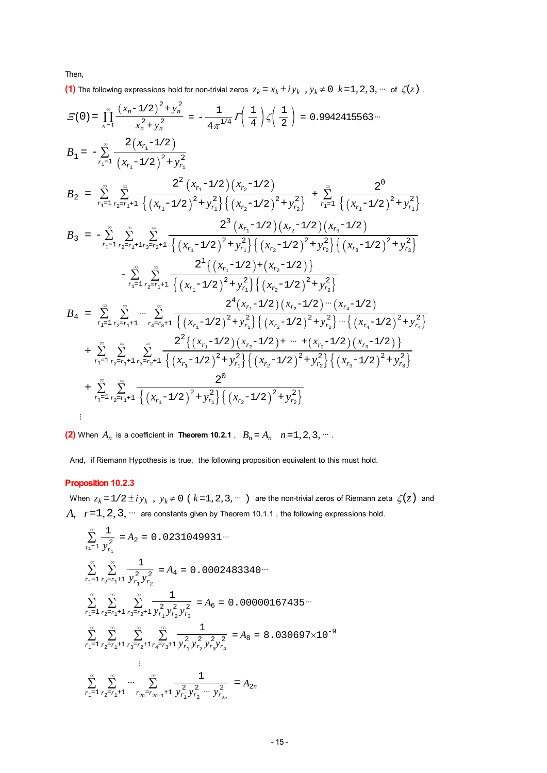Then,

**(1)** The following expressions hold for non-trivial zeros  $z_k = x_k \pm iy_k$ ,  $y_k \neq 0$   $k = 1, 2, 3, \dots$  of  $\zeta(z)$ .

$$
E(0) = \prod_{n=1}^{\infty} \frac{(x_n - 1/2)^2 + y_n^2}{x_n^2 + y_n^2} = -\frac{1}{4\pi^{1/4}} \int \left(\frac{1}{4}\right) \zeta\left(\frac{1}{2}\right) = 0.9942415563\cdots
$$
\n
$$
B_1 = -\sum_{r_1=1}^{\infty} \frac{2(x_{r_1}-1/2)}{(x_{r_1}-1/2)^2 + y_{r_1}^2}
$$
\n
$$
B_2 = \sum_{r_1=1}^{\infty} \sum_{r_2=r_1+1}^{\infty} \frac{2^2(x_{r_1}-1/2)(x_{r_2}-1/2)}{(x_{r_1}-1/2)^2 + y_{r_1}^2} + \sum_{r_1=1}^{\infty} \frac{2^0}{(x_{r_1}-1/2)^2 + y_{r_1}^2}
$$
\n
$$
B_3 = -\sum_{r_1=1}^{\infty} \sum_{r_2=r_1+1}^{\infty} \sum_{r_3=r_1+1}^{\infty} \frac{2^3(x_{r_1}-1/2)(x_{r_2}-1/2)(x_{r_3}-1/2)}{(x_{r_2}-1/2)(x_{r_3}-1/2)(x_{r_3}-1/2)}
$$
\n
$$
- \sum_{r_1=1}^{\infty} \sum_{r_2=r_1+1}^{\infty} \frac{2^1\{(x_{r_1}-1/2)^2 + y_{r_1}^2\}\{(x_{r_2}-1/2)^2 + y_{r_2}^2\}\{(x_{r_3}-1/2)^2 + y_{r_3}^2\}}{2^4(x_{r_1}-1/2)^2 + y_{r_1}^2\}\{(x_{r_2}-1/2)^2 + y_{r_2}^2\}}
$$
\n
$$
B_4 = \sum_{r_1=1}^{\infty} \sum_{r_2=r_1+1}^{\infty} \sum_{r_4=r_3+1}^{\infty} \frac{2^4(x_{r_1}-1/2)(x_{r_2}-1/2)(x_{r_2}-1/2)(x_{r_4}-1/2)}{(x_{r_4}-1/2)^2 + y_{r_4}^2\}} + \sum_{r_1=1}^{\infty} \sum_{r_2=r_1+1}^{\
$$

**(2)** When  $A_n$  is a coefficient in **Theorem 10.2.1**,  $B_n = A_n$   $n = 1, 2, 3, ...$ 

And, if Riemann Hypothesis is true, the following proposition equivalent to this must hold.

# **Proposition 10.2.3**

When  $z_k = 1/2 \pm i y_k$ ,  $y_k \neq 0$  (  $k = 1, 2, 3, \dots$  ) are the non-trivial zeros of Riemann zeta  $\zeta(z)$  and  $A_r$   $r=1, 2, 3, \cdots$  are constants given by Theorem 10.1.1, the following expressions hold.

$$
\sum_{r_1=1}^{\infty} \frac{1}{y_{r_1}^2} = A_2 = 0.0231049931\cdots
$$
\n
$$
\sum_{r_1=1}^{\infty} \sum_{r_2=r_1+1}^{\infty} \frac{1}{y_{r_1}^2 y_{r_2}^2} = A_4 = 0.0002483340\cdots
$$
\n
$$
\sum_{r_1=1}^{\infty} \sum_{r_2=r_1+1}^{\infty} \sum_{r_3=r_2+1}^{\infty} \frac{1}{y_{r_1}^2 y_{r_2}^2 y_{r_3}^2} = A_6 = 0.00000167435\cdots
$$
\n
$$
\sum_{r_1=1}^{\infty} \sum_{r_2=r_1+1}^{\infty} \sum_{r_3=r_2+1}^{\infty} \sum_{r_4=r_3+1}^{\infty} \frac{1}{y_{r_1}^2 y_{r_2}^2 y_{r_3}^2 y_{r_4}^2} = A_8 = 8.030697 \times 10^{-9}
$$
\n
$$
\vdots
$$
\n
$$
\sum_{r_1=1}^{\infty} \sum_{r_2=r_1+1}^{\infty} \cdots \sum_{r_n=r_{2n-1}+1}^{\infty} \frac{1}{y_{r_1}^2 y_{r_2}^2 \cdots y_{r_{2n}}^2} = A_{2n}
$$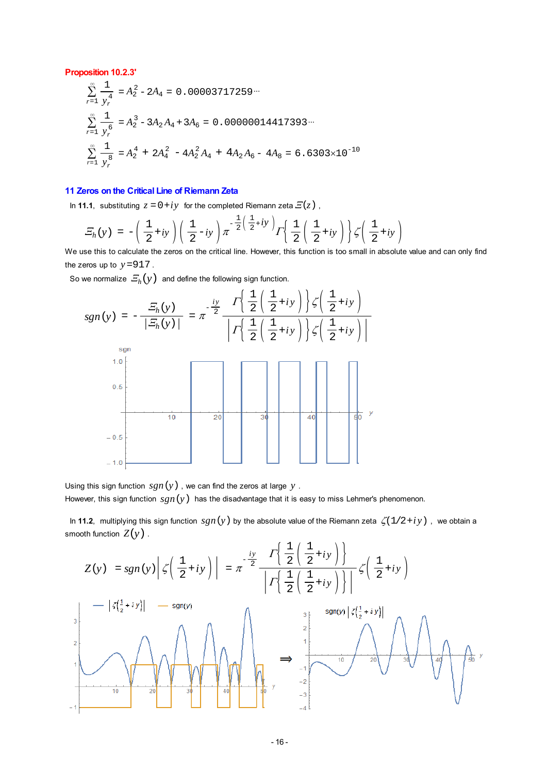#### **Proposition 10.2.3'**

$$
\sum_{r=1}^{\infty} \frac{1}{y_r^4} = A_2^2 - 2A_4 = 0.00003717259 \cdots
$$
\n
$$
\sum_{r=1}^{\infty} \frac{1}{y_r^6} = A_2^3 - 3A_2A_4 + 3A_6 = 0.00000014417393 \cdots
$$
\n
$$
\sum_{r=1}^{\infty} \frac{1}{y_r^8} = A_2^4 + 2A_4^2 - 4A_2^2A_4 + 4A_2A_6 - 4A_8 = 6.6303 \times 10^{-10}
$$

### **11 Zeros on the Critical Line of Riemann Zeta**

In **11.1**, substituting  $z = 0 + iy$  for the completed Riemann zeta  $E(z)$ ,

$$
\mathcal{Z}_h(y) = -\left(\frac{1}{2} + iy\right)\left(\frac{1}{2} - iy\right)\pi^{-\frac{1}{2}\left(\frac{1}{2} + iy\right)}\Gamma\left(\frac{1}{2}\left(\frac{1}{2} + iy\right)\right)\zeta\left(\frac{1}{2} + iy\right)
$$

We use this to calculate the zeros on the critical line. However, this function is too small in absolute value and can only find the zeros up to  $y = 917$ .

So we normalize  $E_h(y)$  and define the following sign function.



Using this sign function  $sgn(y)$ , we can find the zeros at large  $y$ .

However, this sign function  $sgn(y)$  has the disadvantage that it is easy to miss Lehmer's phenomenon.

In 11.2, multiplying this sign function  $sgn(y)$  by the absolute value of the Riemann zeta  $\zeta(1/2+iy)$ , we obtain a smooth function  $Z(y)$ .  $\mathcal{L}$ 

$$
Z(y) = sgn(y) \left| \zeta\left(\frac{1}{2} + iy\right) \right| = \pi^{-\frac{iy}{2}} \frac{\Gamma\left\{\frac{1}{2}\left(\frac{1}{2} + iy\right)\right\}}{\left|\Gamma\left(\frac{1}{2}\left(\frac{1}{2} + iy\right)\right)\right|} \zeta\left(\frac{1}{2} + iy\right)
$$
\n
$$
\left|\frac{-\left|\zeta\left(\frac{1}{2} + iy\right)\right| - sgn(y)}{\left|\frac{s}{2}\left(\frac{1}{2} + iy\right)\right|} \right| \xrightarrow{\text{sgn}(y)} \frac{\left|\zeta\left(\frac{1}{2} + iy\right)\right|}{\left|\frac{s}{2}\left(\frac{1}{2} + iy\right)\right|} \xrightarrow{\text{sgn}(y)} \frac{\left|\zeta\left(\frac{1}{2} + iy\right)\right|}{\left|\frac{s}{2}\left(\frac{1}{2} + iy\right)\right|} \xrightarrow{\text{sgn}(y)} \frac{\left|\zeta\left(\frac{1}{2} + iy\right)\right|}{\left|\frac{s}{2}\left(\frac{1}{2} + iy\right)\right|} \xrightarrow{\text{sgn}(y)} \frac{\left|\zeta\left(\frac{1}{2} + iy\right)\right|}{\left|\frac{s}{2}\left(\frac{1}{2} + iy\right)\right|} \xrightarrow{\text{sgn}(y)} \frac{\left|\zeta\left(\frac{1}{2} + iy\right)\right|}{\left|\frac{s}{2}\left(\frac{1}{2} + iy\right)\right|} \xrightarrow{\text{sgn}(y)} \frac{\left|\zeta\left(\frac{1}{2} + iy\right)\right|}{\left|\frac{s}{2}\left(\frac{1}{2} + iy\right)\right|} \xrightarrow{\text{sgn}(y)} \frac{\left|\zeta\left(\frac{1}{2} + iy\right)\right|}{\left|\frac{s}{2}\left(\frac{1}{2} + iy\right)\right|} \xrightarrow{\text{sgn}(y)} \frac{\left|\zeta\left(\frac{1}{2} + iy\right)\right|}{\left|\frac{s}{2}\left(\frac{1}{2} + iy\right)\right|} \xrightarrow{\text{sgn}(y)} \frac{\left|\zeta\left(\frac{1}{2} + iy\right)\right|}{\left|\frac{s}{2}\left(\frac{1}{2} + iy\right)\right|} \xrightarrow{\text{sgn}(y)} \frac{\left|\zeta\left(\frac{1}{2} + iy\right)\right|}{\left|\frac{s}{2
$$